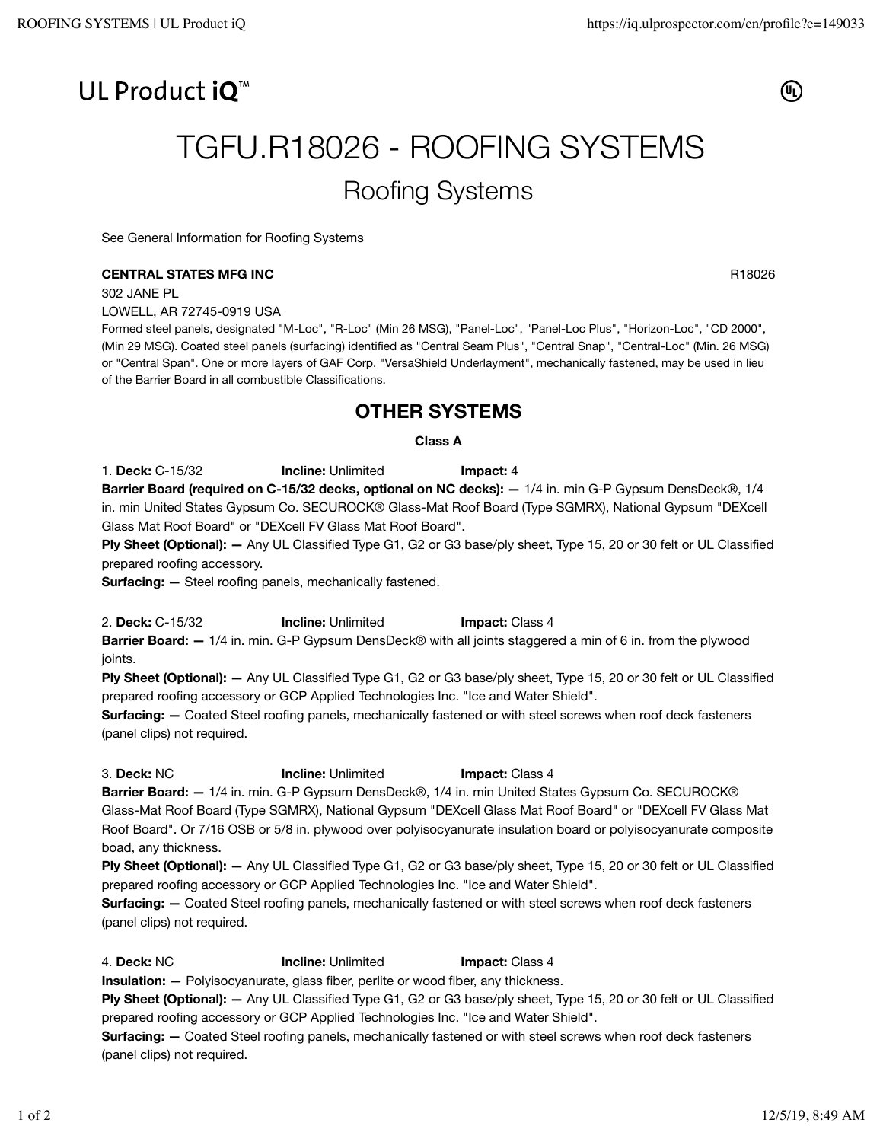## UL Product iO<sup>™</sup>



# TGFU.R18026 - ROOFING SYSTEMS Roofing Systems

See General Information for Roofing Systems

## **CENTRAL STATES MFG INC** RESOLUTION CONTRACT THE RESOLUTION OF RESOLUTION CONTRACT AND RESOLUTION CONTRACT THE RESOLUTION OF RESOLUTION CONTRACT OF RESOLUTION OF RESOLUTION CONTRACT OF RESOLUTION OF RESOLUTION CONTRACT OF

302 JANE PL

LOWELL, AR 72745-0919 USA

Formed steel panels, designated "M-Loc", "R-Loc" (Min 26 MSG), "Panel-Loc", "Panel-Loc Plus", "Horizon-Loc", "CD 2000", (Min 29 MSG). Coated steel panels (surfacing) identified as "Central Seam Plus", "Central Snap", "Central-Loc" (Min. 26 MSG) or "Central Span". One or more layers of GAF Corp. "VersaShield Underlayment", mechanically fastened, may be used in lieu of the Barrier Board in all combustible Classifications.

## **OTHER SYSTEMS**

## **Class A**

1. **Deck:** C-15/32 **Incline:** Unlimited **Impact:** 4 **Barrier Board (required on C-15/32 decks, optional on NC decks): —** 1/4 in. min G-P Gypsum DensDeck®, 1/4 in. min United States Gypsum Co. SECUROCK® Glass-Mat Roof Board (Type SGMRX), National Gypsum "DEXcell Glass Mat Roof Board" or "DEXcell FV Glass Mat Roof Board".

**Ply Sheet (Optional): —** Any UL Classified Type G1, G2 or G3 base/ply sheet, Type 15, 20 or 30 felt or UL Classified prepared roofing accessory.

**Surfacing:**  $-$  Steel roofing panels, mechanically fastened.

2. **Deck:** C-15/32 **Incline:** Unlimited **Impact:** Class 4

**Barrier Board: —** 1/4 in. min. G-P Gypsum DensDeck® with all joints staggered a min of 6 in. from the plywood joints.

**Ply Sheet (Optional): —** Any UL Classified Type G1, G2 or G3 base/ply sheet, Type 15, 20 or 30 felt or UL Classified prepared roofing accessory or GCP Applied Technologies Inc. "Ice and Water Shield".

**Surfacing: —** Coated Steel roofing panels, mechanically fastened or with steel screws when roof deck fasteners (panel clips) not required.

3. **Deck:** NC **Incline:** Unlimited **Impact:** Class 4

**Barrier Board: —** 1/4 in. min. G-P Gypsum DensDeck®, 1/4 in. min United States Gypsum Co. SECUROCK® Glass-Mat Roof Board (Type SGMRX), National Gypsum "DEXcell Glass Mat Roof Board" or "DEXcell FV Glass Mat Roof Board". Or 7/16 OSB or 5/8 in. plywood over polyisocyanurate insulation board or polyisocyanurate composite boad, any thickness.

**Ply Sheet (Optional): —** Any UL Classified Type G1, G2 or G3 base/ply sheet, Type 15, 20 or 30 felt or UL Classified prepared roofing accessory or GCP Applied Technologies Inc. "Ice and Water Shield".

**Surfacing: —** Coated Steel roofing panels, mechanically fastened or with steel screws when roof deck fasteners (panel clips) not required.

4. **Deck:** NC **Incline:** Unlimited **Impact:** Class 4

**Insulation:**  $-$  Polyisocyanurate, glass fiber, perlite or wood fiber, any thickness.

**Ply Sheet (Optional): —** Any UL Classified Type G1, G2 or G3 base/ply sheet, Type 15, 20 or 30 felt or UL Classified prepared roofing accessory or GCP Applied Technologies Inc. "Ice and Water Shield".

**Surfacing: —** Coated Steel roofing panels, mechanically fastened or with steel screws when roof deck fasteners (panel clips) not required.